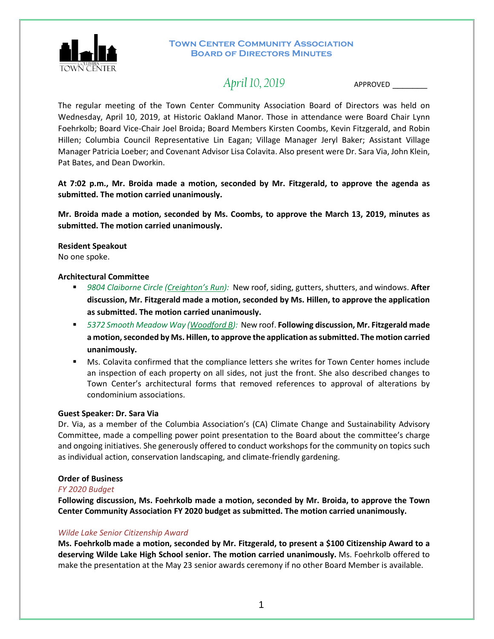

# **TOWN CENTER COMMUNITY ASSOCIATION Board of Directors Minutes**

# *April 10, 2019*APPROVED \_\_\_\_\_\_\_

The regular meeting of the Town Center Community Association Board of Directors was held on Wednesday, April 10, 2019, at Historic Oakland Manor. Those in attendance were Board Chair Lynn Foehrkolb; Board Vice-Chair Joel Broida; Board Members Kirsten Coombs, Kevin Fitzgerald, and Robin Hillen; Columbia Council Representative Lin Eagan; Village Manager Jeryl Baker; Assistant Village Manager Patricia Loeber; and Covenant Advisor Lisa Colavita. Also present were Dr. Sara Via, John Klein, Pat Bates, and Dean Dworkin.

**At 7:02 p.m., Mr. Broida made a motion, seconded by Mr. Fitzgerald, to approve the agenda as submitted. The motion carried unanimously.**

**Mr. Broida made a motion, seconded by Ms. Coombs, to approve the March 13, 2019, minutes as submitted. The motion carried unanimously.** 

**Resident Speakout**  No one spoke.

# **Architectural Committee**

- 9804 Claiborne Circle (Creighton's Run): New roof, siding, gutters, shutters, and windows. After **discussion, Mr. Fitzgerald made a motion, seconded by Ms. Hillen, to approve the application as submitted. The motion carried unanimously.**
- *5372 Smooth Meadow Way (Woodford B):* New roof. **Following discussion, Mr. Fitzgerald made a motion, seconded by Ms. Hillen, to approve the application as submitted. The motion carried unanimously.**
- Ms. Colavita confirmed that the compliance letters she writes for Town Center homes include an inspection of each property on all sides, not just the front. She also described changes to Town Center's architectural forms that removed references to approval of alterations by condominium associations.

# **Guest Speaker: Dr. Sara Via**

Dr. Via, as a member of the Columbia Association's (CA) Climate Change and Sustainability Advisory Committee, made a compelling power point presentation to the Board about the committee's charge and ongoing initiatives. She generously offered to conduct workshops for the community on topics such as individual action, conservation landscaping, and climate-friendly gardening.

# **Order of Business**

## *FY 2020 Budget*

**Following discussion, Ms. Foehrkolb made a motion, seconded by Mr. Broida, to approve the Town Center Community Association FY 2020 budget as submitted. The motion carried unanimously.**

# *Wilde Lake Senior Citizenship Award*

**Ms. Foehrkolb made a motion, seconded by Mr. Fitzgerald, to present a \$100 Citizenship Award to a deserving Wilde Lake High School senior. The motion carried unanimously.** Ms. Foehrkolb offered to make the presentation at the May 23 senior awards ceremony if no other Board Member is available.